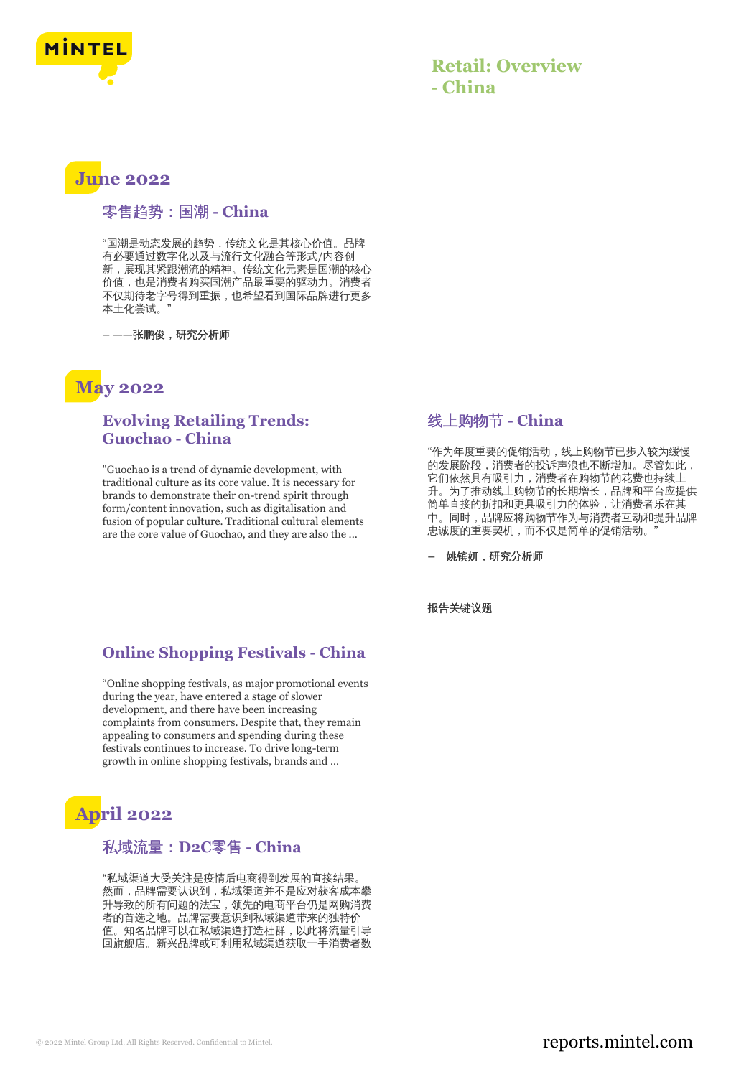

### **Retail: Overview - China**

## **June 2022**

#### 零售趋势:国潮 **- China**

"国潮是动态发展的趋势,传统文化是其核心价值。品牌 有必要通过数字化以及与流行文化融合等形式/内容创 新,展现其紧跟潮流的精神。传统文化元素是国潮的核心 价值,也是消费者购买国潮产品最重要的驱动力。消费者 不仅期待老字号得到重振,也希望看到国际品牌进行更多 本土化尝试。"

**– ——**张鹏俊,研究分析师

### **May 2022**

#### **Evolving Retailing Trends: Guochao - China**

"Guochao is a trend of dynamic development, with traditional culture as its core value. It is necessary for brands to demonstrate their on-trend spirit through form/content innovation, such as digitalisation and fusion of popular culture. Traditional cultural elements are the core value of Guochao, and they are also the ...

#### **Online Shopping Festivals - China**

"Online shopping festivals, as major promotional events during the year, have entered a stage of slower development, and there have been increasing complaints from consumers. Despite that, they remain appealing to consumers and spending during these festivals continues to increase. To drive long-term growth in online shopping festivals, brands and ...

# **April 2022**

#### 私域流量:**D2C**零售 **- China**

"私域渠道大受关注是疫情后电商得到发展的直接结果。 然而,品牌需要认识到,私域渠道并不是应对获客成本攀 升导致的所有问题的法宝,领先的电商平台仍是网购消费 者的首选之地。品牌需要意识到私域渠道带来的独特价 值。知名品牌可以在私域渠道打造社群,以此将流量引导 回旗舰店。新兴品牌或可利用私域渠道获取一手消费者数

#### 线上购物节 **- China**

"作为年度重要的促销活动,线上购物节已步入较为缓慢 的发展阶段,消费者的投诉声浪也不断增加。尽管如此, 它们依然具有吸引力,消费者在购物节的花费也持续上 升。为了推动线上购物节的长期增长,品牌和平台应提供 简单直接的折扣和更具吸引力的体验,让消费者乐在其 中。同时,品牌应将购物节作为与消费者互动和提升品牌 忠诚度的重要契机,而不仅是简单的促销活动。

**–** 姚镔妍,研究分析师

报告关键议题